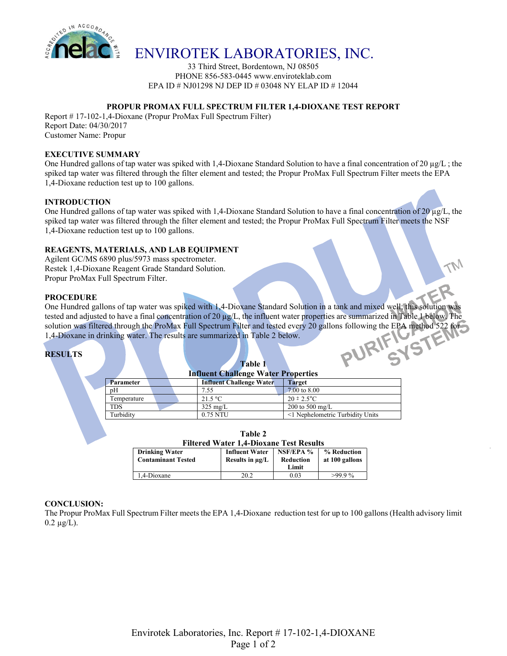

# ENVIROTEK LABORATORIES, INC.

33 Third Street, Bordentown, NJ 08505 PHONE 856-583-0445 www.enviroteklab.com EPA ID # NJ01298 NJ DEP ID # 03048 NY ELAP ID # 12044

# **PROPUR PROMAX FULL SPECTRUM FILTER 1,4-DIOXANE TEST REPORT**

Report # 17-102-1,4-Dioxane (Propur ProMax Full Spectrum Filter) Report Date: 04/30/2017 Customer Name: Propur

#### **EXECUTIVE SUMMARY**

One Hundred gallons of tap water was spiked with 1,4-Dioxane Standard Solution to have a final concentration of 20  $\mu g/L$ ; the spiked tap water was filtered through the filter element and tested; the Propur ProMax Full Spectrum Filter meets the EPA 1,4-Dioxane reduction test up to 100 gallons.

# **INTRODUCTION**

One Hundred gallons of tap water was spiked with 1,4-Dioxane Standard Solution to have a final concentration of 20  $\mu$ g/L, the spiked tap water was filtered through the filter element and tested; the Propur ProMax Full Spectrum Filter meets the NSF 1,4-Dioxane reduction test up to 100 gallons.

# **REAGENTS, MATERIALS, AND LAB EQUIPMENT**

Agilent GC/MS 6890 plus/5973 mass spectrometer. Restek 1,4-Dioxane Reagent Grade Standard Solution. Propur ProMax Full Spectrum Filter.

#### **PROCEDURE**

One Hundred gallons of tap water was spiked with 1,4-Dioxane Standard Solution in a tank and mixed well; this solution was tested and adjusted to have a final concentration of 20 µg/L, the influent water properties are summarized in Table 1 below. The solution was filtered through the ProMax Full Spectrum Filter and tested every 20 gallons following the EPA method 522 for 1,4-Dioxane in drinking water. The results are summarized in Table 2 below. PURIFIUS

# **RESULTS**

| <b>Table 1</b><br><b>Influent Challenge Water Properties</b> |  |                                 |                        |                                  |  |  |  |
|--------------------------------------------------------------|--|---------------------------------|------------------------|----------------------------------|--|--|--|
| <b>Parameter</b>                                             |  | <b>Influent Challenge Water</b> | <b>Target</b>          |                                  |  |  |  |
| pH                                                           |  | 7.55                            | 7.00 to 8.00           |                                  |  |  |  |
| Temperature                                                  |  | 21.5 °C                         | $20 \pm 2.5^{\circ}$ C |                                  |  |  |  |
| TDS                                                          |  | $325 \text{ mg/L}$              | 200 to 500 mg/L        |                                  |  |  |  |
| Turbidity                                                    |  | 0.75 NTU                        |                        | <1 Nephelometric Turbidity Units |  |  |  |

| Table 2                                        |
|------------------------------------------------|
| <b>Filtered Water 1.4-Dioxane Test Results</b> |

| <b>Drinking Water</b><br><b>Contaminant Tested</b> | <b>Influent Water</b><br>Results in $\mu$ g/L | NSF/EPA %<br>Reduction<br>Limit | % Reduction<br>at 100 gallons |
|----------------------------------------------------|-----------------------------------------------|---------------------------------|-------------------------------|
| 1.4-Dioxane                                        | 20.2                                          | 0.03                            | $>99.9\%$                     |

#### **CONCLUSION:**

The Propur ProMax Full Spectrum Filter meets the EPA 1,4-Dioxane reduction test for up to 100 gallons (Health advisory limit  $0.2 \mu g/L$ ).